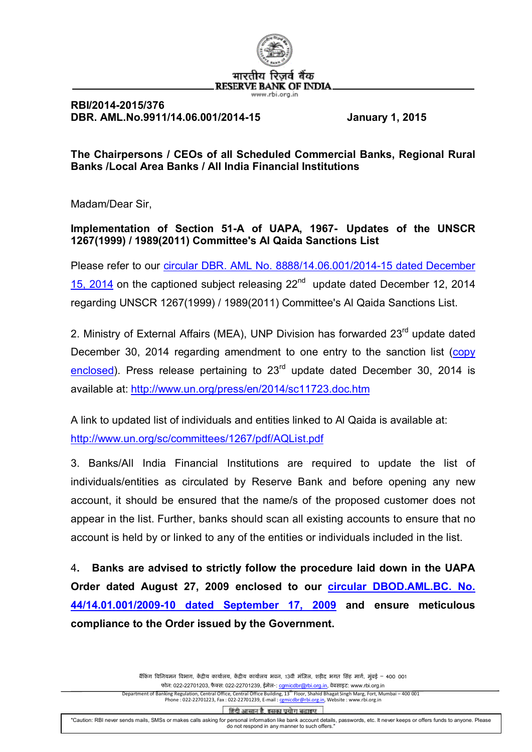

## **RBI/2014-2015/376 DBR. AML.No.9911/14.06.001/2014-15 January 1, 2015**

**The Chairpersons / CEOs of all Scheduled Commercial Banks, Regional Rural Banks /Local Area Banks / All India Financial Institutions**

Madam/Dear Sir,

**Implementation of Section 51-A of UAPA, 1967- Updates of the UNSCR 1267(1999) / 1989(2011) Committee's Al Qaida Sanctions List**

Please refer to our [circular DBR. AML No. 8888/14.06.001/2014-15 dated December](http://rbi.org.in/scripts/NotificationUser.aspx?Id=9412&Mode=0) [15, 2014](http://rbi.org.in/scripts/NotificationUser.aspx?Id=9412&Mode=0) on the captioned subject releasing  $22^{nd}$  update dated December 12, 2014 regarding UNSCR 1267(1999) / 1989(2011) Committee's Al Qaida Sanctions List.

2. Ministry of External Affairs (MEA), UNP Division has forwarded 23<sup>rd</sup> update dated December 30, 2014 regarding amendment to one entry to the sanction list [\(copy](http://rbidocs.rbi.org.in/rdocs/content/PDFs/AlQ23122014.pdf) [enclosed\)](http://rbidocs.rbi.org.in/rdocs/content/PDFs/AlQ23122014.pdf). Press release pertaining to  $23<sup>rd</sup>$  update dated December 30, 2014 is available at: <http://www.un.org/press/en/2014/sc11723.doc.htm>

A link to updated list of individuals and entities linked to Al Qaida is available at: <http://www.un.org/sc/committees/1267/pdf/AQList.pdf>

3. Banks/All India Financial Institutions are required to update the list of individuals/entities as circulated by Reserve Bank and before opening any new account, it should be ensured that the name/s of the proposed customer does not appear in the list. Further, banks should scan all existing accounts to ensure that no account is held by or linked to any of the entities or individuals included in the list.

4**. Banks are advised to strictly follow the procedure laid down in the UAPA Order dated August 27, 2009 enclosed to our [circular DBOD.AML.BC. No.](http://www.rbi.org.in/scripts/NotificationUser.aspx?Id=5282&Mode=0) [44/14.01.001/2009-10 dated September 17, 2009](http://www.rbi.org.in/scripts/NotificationUser.aspx?Id=5282&Mode=0) and ensure meticulous compliance to the Order issued by the Government.**

> बैंकिंग विनियमन विभाग, केंद्रीय कार्यालय, केंद्रीय कार्यालय भवन, 13वीं मंजिल, शहीद भगत सिंह मार्ग, मुंबई – 400 001 फोन: 022-22701203, फैक्स: 022-22701239, ईमेल-: camicdbr@rbi.org.in, वेबसाइट: www.rbi.org.in Department of Banking Regulation, Central Office, Central Office Building, 13<sup>th</sup> Floor, Shahid Bhagat Singh Marg, Fort, Mumbai – 400 001 Phone : 022-22701223, Fax : 022-22701239, E-mail : comicdbr@rbi.org.in, Website : www.rbi.org.in

हिंदी आसान है. इसका प्रयोग बढाइए

"Caution: RBI never sends mails, SMSs or makes calls asking for personal information like bank account details, passwords, etc. It never keeps or offers funds to anyone. Please do not respond in any manner to such offers."